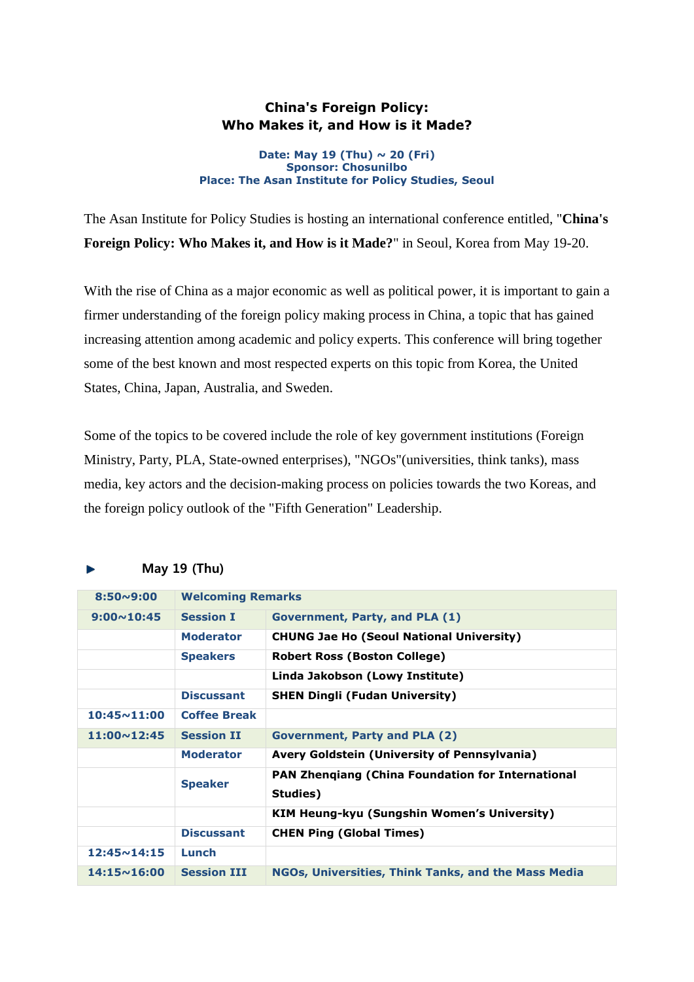## **China's Foreign Policy: Who Makes it, and How is it Made?**

## **Date: May 19 (Thu) ~ 20 (Fri) Sponsor: Chosunilbo Place: The Asan Institute for Policy Studies, Seoul**

The Asan Institute for Policy Studies is hosting an international conference entitled, "**China's Foreign Policy: Who Makes it, and How is it Made?**" in Seoul, Korea from May 19-20.

With the rise of China as a major economic as well as political power, it is important to gain a firmer understanding of the foreign policy making process in China, a topic that has gained increasing attention among academic and policy experts. This conference will bring together some of the best known and most respected experts on this topic from Korea, the United States, China, Japan, Australia, and Sweden.

Some of the topics to be covered include the role of key government institutions (Foreign Ministry, Party, PLA, State-owned enterprises), "NGOs"(universities, think tanks), mass media, key actors and the decision-making process on policies towards the two Koreas, and the foreign policy outlook of the "Fifth Generation" Leadership.

| $8:50 \sim 9:00$     | <b>Welcoming Remarks</b> |                                                          |  |
|----------------------|--------------------------|----------------------------------------------------------|--|
|                      |                          |                                                          |  |
| $9:00 \sim 10:45$    | <b>Session I</b>         | Government, Party, and PLA (1)                           |  |
|                      | <b>Moderator</b>         | <b>CHUNG Jae Ho (Seoul National University)</b>          |  |
|                      | <b>Speakers</b>          | Robert Ross (Boston College)                             |  |
|                      |                          | Linda Jakobson (Lowy Institute)                          |  |
|                      | <b>Discussant</b>        | <b>SHEN Dingli (Fudan University)</b>                    |  |
| $10:45 \times 11:00$ | <b>Coffee Break</b>      |                                                          |  |
| $11:00 \times 12:45$ | <b>Session II</b>        | <b>Government, Party and PLA (2)</b>                     |  |
|                      | <b>Moderator</b>         | Avery Goldstein (University of Pennsylvania)             |  |
|                      | <b>Speaker</b>           | <b>PAN Zhengiang (China Foundation for International</b> |  |
|                      |                          | Studies)                                                 |  |
|                      |                          | KIM Heung-kyu (Sungshin Women's University)              |  |
|                      | <b>Discussant</b>        | <b>CHEN Ping (Global Times)</b>                          |  |
| $12:45 \sim 14:15$   | Lunch                    |                                                          |  |
| $14:15 \sim 16:00$   | <b>Session III</b>       | NGOs, Universities, Think Tanks, and the Mass Media      |  |

## May 19 (Thu)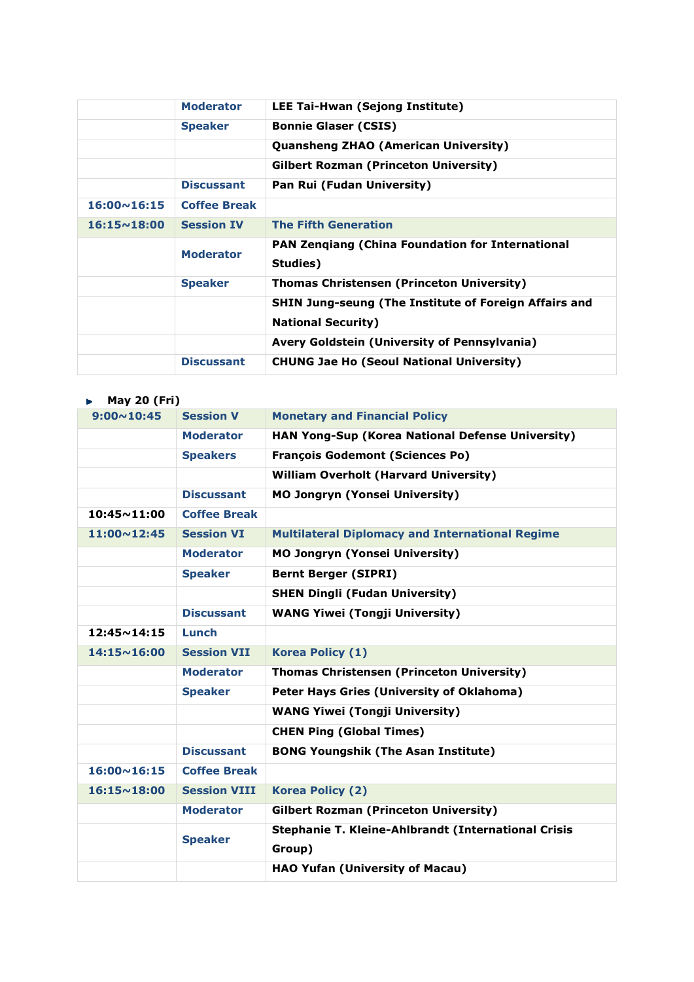|                      | <b>Moderator</b>    | LEE Tai-Hwan (Sejong Institute)                                                           |
|----------------------|---------------------|-------------------------------------------------------------------------------------------|
|                      | <b>Speaker</b>      | <b>Bonnie Glaser (CSIS)</b>                                                               |
|                      |                     | <b>Quansheng ZHAO (American University)</b>                                               |
|                      |                     | <b>Gilbert Rozman (Princeton University)</b>                                              |
|                      | <b>Discussant</b>   | Pan Rui (Fudan University)                                                                |
| $16:00 \times 16:15$ | <b>Coffee Break</b> |                                                                                           |
| $16:15 \sim 18:00$   | <b>Session IV</b>   | <b>The Fifth Generation</b>                                                               |
|                      | <b>Moderator</b>    | PAN Zenqiang (China Foundation for International<br>Studies)                              |
|                      | <b>Speaker</b>      | <b>Thomas Christensen (Princeton University)</b>                                          |
|                      |                     | <b>SHIN Jung-seung (The Institute of Foreign Affairs and</b><br><b>National Security)</b> |
|                      |                     | Avery Goldstein (University of Pennsylvania)                                              |
|                      | <b>Discussant</b>   | <b>CHUNG Jae Ho (Seoul National University)</b>                                           |

| <b>May 20 (Fri)</b><br>ь. |                     |                                                        |
|---------------------------|---------------------|--------------------------------------------------------|
| $9:00 \sim 10:45$         | <b>Session V</b>    | <b>Monetary and Financial Policy</b>                   |
|                           | <b>Moderator</b>    | HAN Yong-Sup (Korea National Defense University)       |
|                           | <b>Speakers</b>     | <b>François Godemont (Sciences Po)</b>                 |
|                           |                     | <b>William Overholt (Harvard University)</b>           |
|                           | <b>Discussant</b>   | <b>MO Jongryn (Yonsei University)</b>                  |
| $10:45 \times 11:00$      | <b>Coffee Break</b> |                                                        |
| $11:00 \times 12:45$      | <b>Session VI</b>   | <b>Multilateral Diplomacy and International Regime</b> |
|                           | <b>Moderator</b>    | <b>MO Jongryn (Yonsei University)</b>                  |
|                           | <b>Speaker</b>      | <b>Bernt Berger (SIPRI)</b>                            |
|                           |                     | <b>SHEN Dingli (Fudan University)</b>                  |
|                           | <b>Discussant</b>   | <b>WANG Yiwei (Tongji University)</b>                  |
| $12:45 \times 14:15$      | Lunch               |                                                        |
| $14:15 \sim 16:00$        | <b>Session VII</b>  | Korea Policy (1)                                       |
|                           | <b>Moderator</b>    | <b>Thomas Christensen (Princeton University)</b>       |
|                           | <b>Speaker</b>      | Peter Hays Gries (University of Oklahoma)              |
|                           |                     | <b>WANG Yiwei (Tongji University)</b>                  |
|                           |                     | <b>CHEN Ping (Global Times)</b>                        |
|                           | <b>Discussant</b>   | <b>BONG Youngshik (The Asan Institute)</b>             |
| $16:00 \sim 16:15$        | <b>Coffee Break</b> |                                                        |
| $16:15 \sim 18:00$        | <b>Session VIII</b> | <b>Korea Policy (2)</b>                                |
|                           | <b>Moderator</b>    | <b>Gilbert Rozman (Princeton University)</b>           |
|                           | <b>Speaker</b>      | Stephanie T. Kleine-Ahlbrandt (International Crisis    |
|                           |                     | Group)                                                 |
|                           |                     | <b>HAO Yufan (University of Macau)</b>                 |